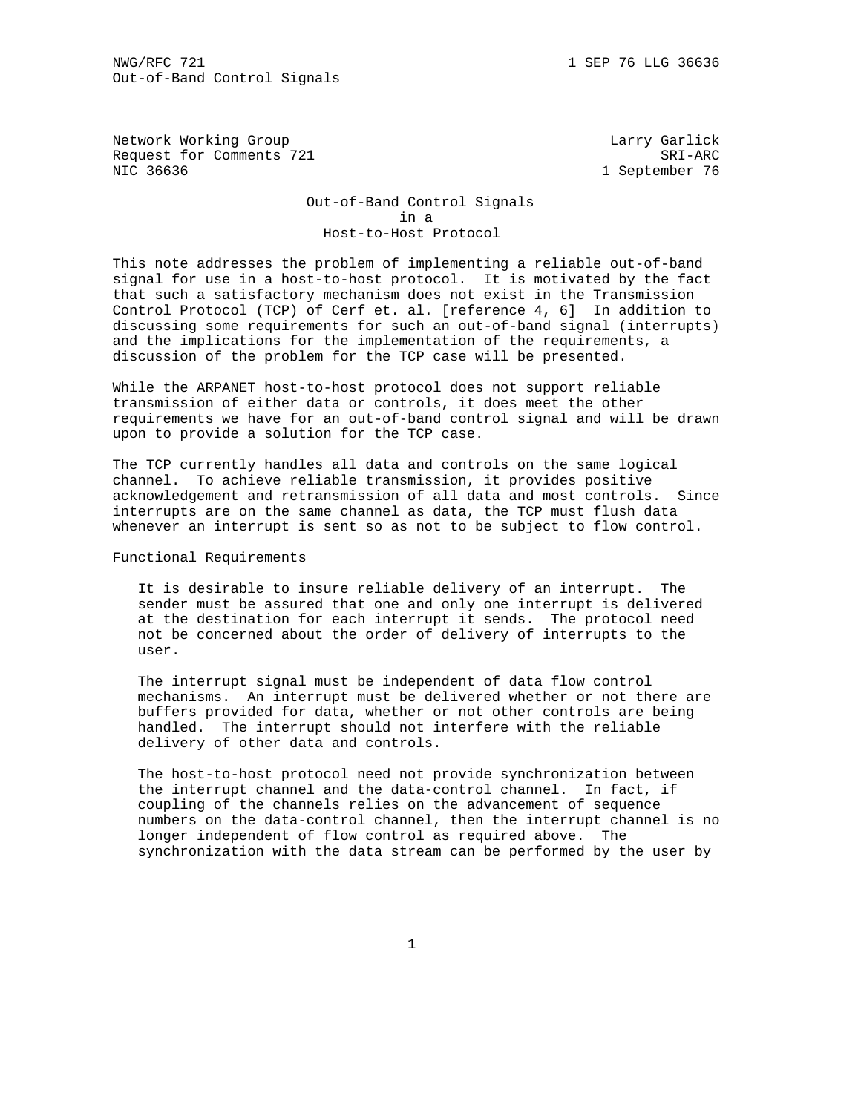Network Working Group and the control of the Larry Garlick Request for Comments 721 SRI-ARC NIC 36636 1 September 76

 Out-of-Band Control Signals in a Host-to-Host Protocol

This note addresses the problem of implementing a reliable out-of-band signal for use in a host-to-host protocol. It is motivated by the fact that such a satisfactory mechanism does not exist in the Transmission Control Protocol (TCP) of Cerf et. al. [reference 4, 6] In addition to discussing some requirements for such an out-of-band signal (interrupts) and the implications for the implementation of the requirements, a discussion of the problem for the TCP case will be presented.

While the ARPANET host-to-host protocol does not support reliable transmission of either data or controls, it does meet the other requirements we have for an out-of-band control signal and will be drawn upon to provide a solution for the TCP case.

The TCP currently handles all data and controls on the same logical channel. To achieve reliable transmission, it provides positive acknowledgement and retransmission of all data and most controls. Since interrupts are on the same channel as data, the TCP must flush data whenever an interrupt is sent so as not to be subject to flow control.

Functional Requirements

 It is desirable to insure reliable delivery of an interrupt. The sender must be assured that one and only one interrupt is delivered at the destination for each interrupt it sends. The protocol need not be concerned about the order of delivery of interrupts to the user.

 The interrupt signal must be independent of data flow control mechanisms. An interrupt must be delivered whether or not there are buffers provided for data, whether or not other controls are being handled. The interrupt should not interfere with the reliable delivery of other data and controls.

 The host-to-host protocol need not provide synchronization between the interrupt channel and the data-control channel. In fact, if coupling of the channels relies on the advancement of sequence numbers on the data-control channel, then the interrupt channel is no longer independent of flow control as required above. The synchronization with the data stream can be performed by the user by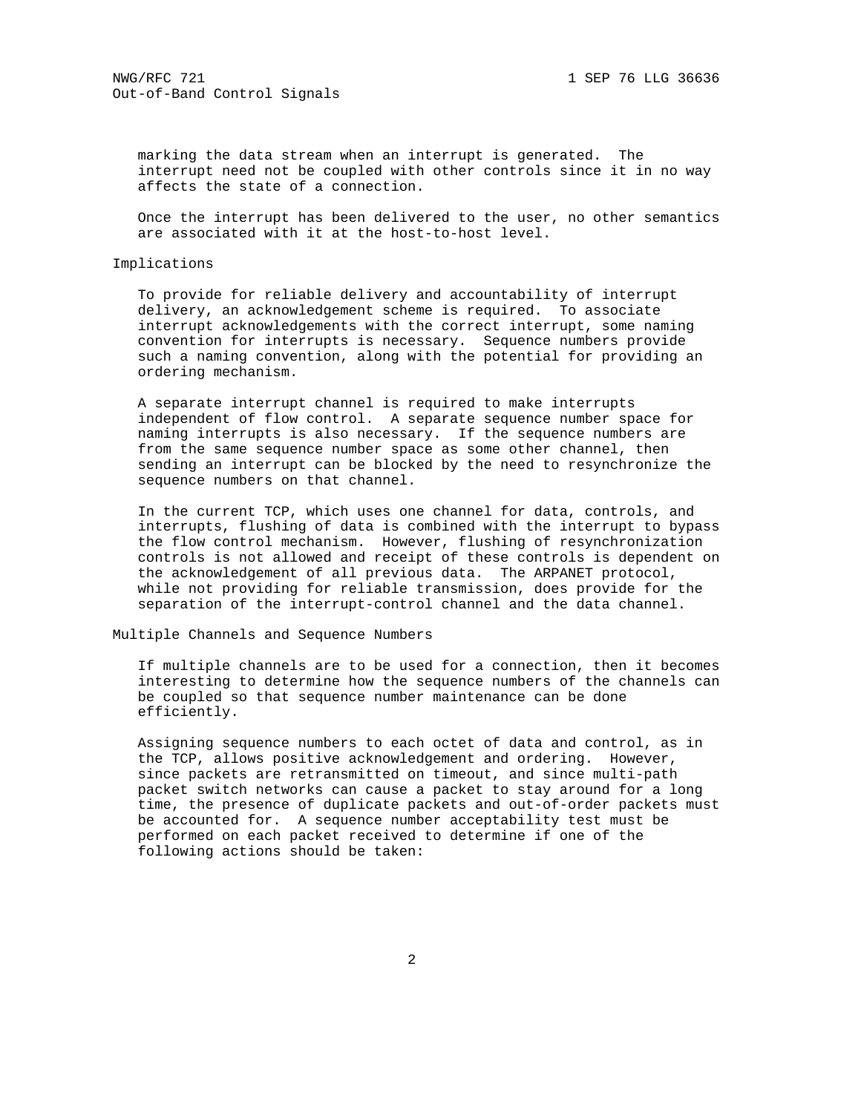marking the data stream when an interrupt is generated. The interrupt need not be coupled with other controls since it in no way affects the state of a connection.

 Once the interrupt has been delivered to the user, no other semantics are associated with it at the host-to-host level.

## Implications

 To provide for reliable delivery and accountability of interrupt delivery, an acknowledgement scheme is required. To associate interrupt acknowledgements with the correct interrupt, some naming convention for interrupts is necessary. Sequence numbers provide such a naming convention, along with the potential for providing an ordering mechanism.

 A separate interrupt channel is required to make interrupts independent of flow control. A separate sequence number space for naming interrupts is also necessary. If the sequence numbers are from the same sequence number space as some other channel, then sending an interrupt can be blocked by the need to resynchronize the sequence numbers on that channel.

 In the current TCP, which uses one channel for data, controls, and interrupts, flushing of data is combined with the interrupt to bypass the flow control mechanism. However, flushing of resynchronization controls is not allowed and receipt of these controls is dependent on the acknowledgement of all previous data. The ARPANET protocol, while not providing for reliable transmission, does provide for the separation of the interrupt-control channel and the data channel.

Multiple Channels and Sequence Numbers

 If multiple channels are to be used for a connection, then it becomes interesting to determine how the sequence numbers of the channels can be coupled so that sequence number maintenance can be done efficiently.

 Assigning sequence numbers to each octet of data and control, as in the TCP, allows positive acknowledgement and ordering. However, since packets are retransmitted on timeout, and since multi-path packet switch networks can cause a packet to stay around for a long time, the presence of duplicate packets and out-of-order packets must be accounted for. A sequence number acceptability test must be performed on each packet received to determine if one of the following actions should be taken: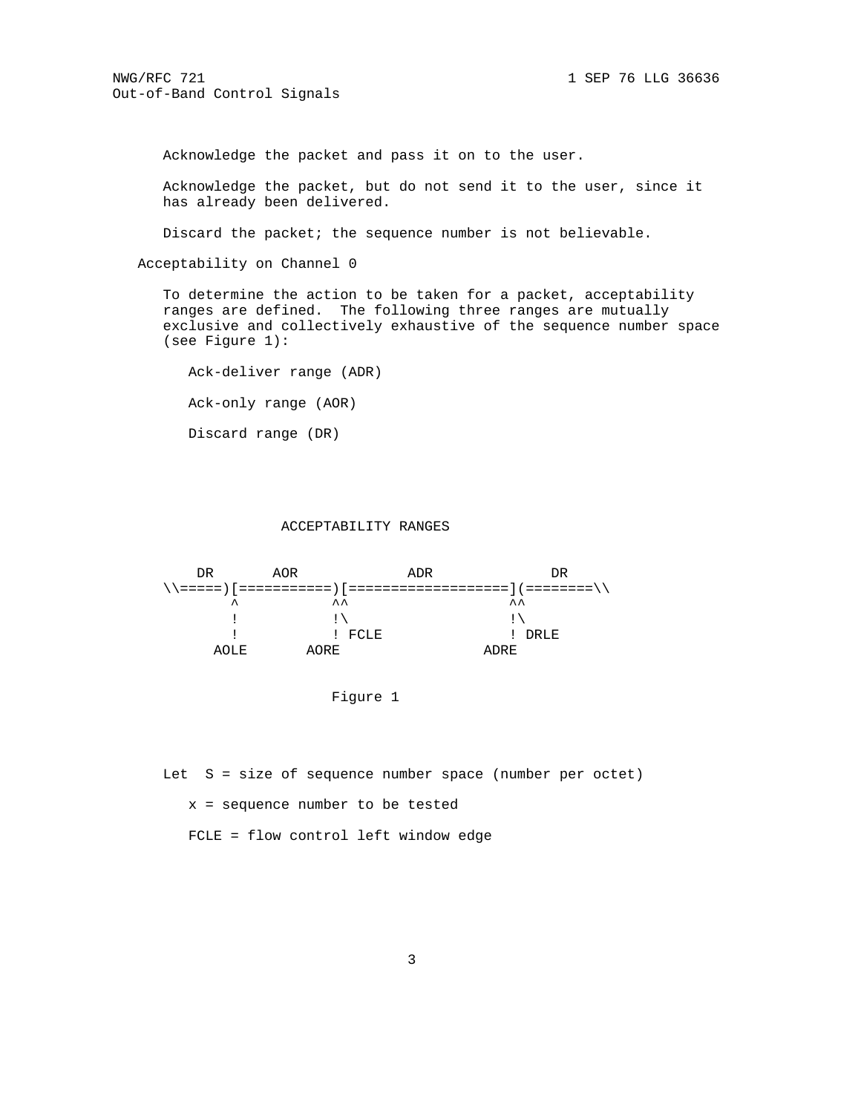Acknowledge the packet and pass it on to the user.

 Acknowledge the packet, but do not send it to the user, since it has already been delivered.

Discard the packet; the sequence number is not believable.

Acceptability on Channel 0

 To determine the action to be taken for a packet, acceptability ranges are defined. The following three ranges are mutually exclusive and collectively exhaustive of the sequence number space (see Figure 1):

 Ack-deliver range (ADR) Ack-only range (AOR) Discard range (DR)

#### ACCEPTABILITY RANGES



Figure 1

Let S = size of sequence number space (number per octet)

x = sequence number to be tested

FCLE = flow control left window edge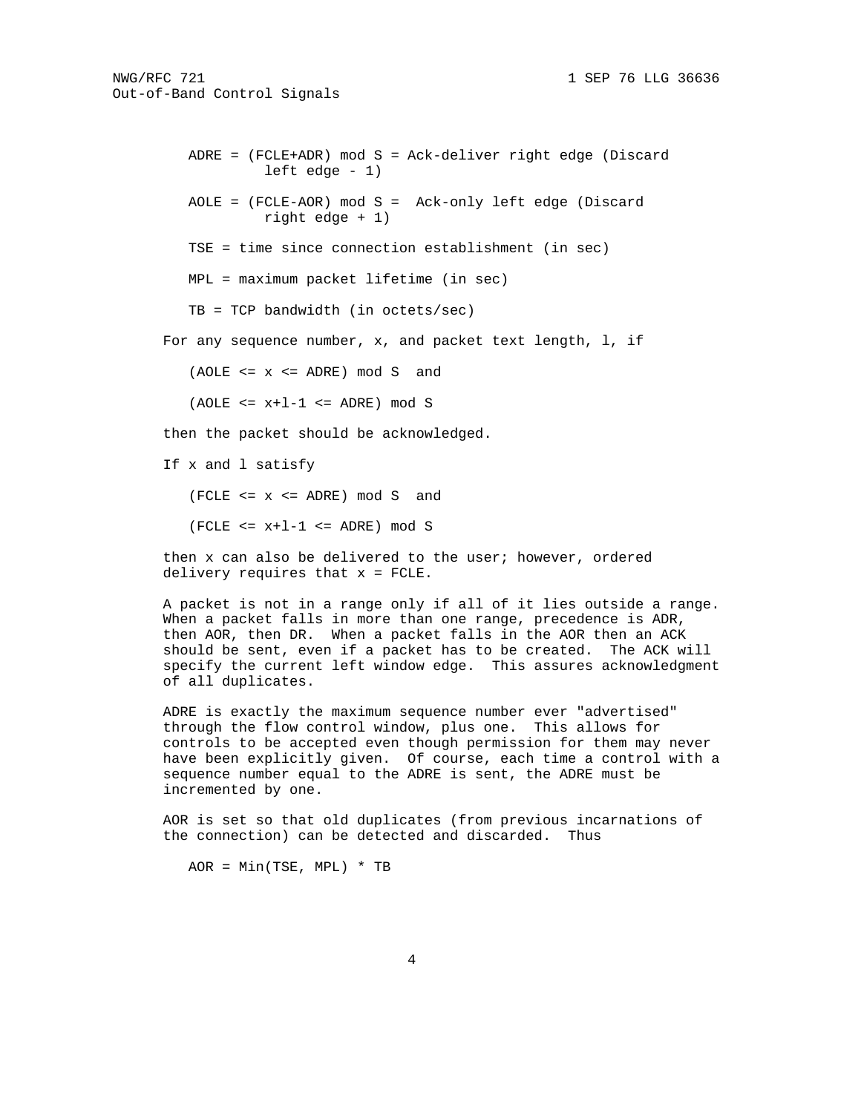```
 ADRE = (FCLE+ADR) mod S = Ack-deliver right edge (Discard
left edge -1)
```
 AOLE = (FCLE-AOR) mod S = Ack-only left edge (Discard right edge + 1)

TSE = time since connection establishment (in sec)

MPL = maximum packet lifetime (in sec)

TB = TCP bandwidth (in octets/sec)

For any sequence number,  $x$ , and packet text length,  $l$ , if

 $(AOLE \le x \le ADER) \mod S$  and

 $(AOLE \le x+1-1 \le AMRE) \mod S$ 

then the packet should be acknowledged.

If x and l satisfy

(FCLE <= x <= ADRE) mod S and

 $(FCLE \le x+1-1 \le AMRE) \mod S$ 

 then x can also be delivered to the user; however, ordered delivery requires that x = FCLE.

 A packet is not in a range only if all of it lies outside a range. When a packet falls in more than one range, precedence is ADR, then AOR, then DR. When a packet falls in the AOR then an ACK should be sent, even if a packet has to be created. The ACK will specify the current left window edge. This assures acknowledgment of all duplicates.

 ADRE is exactly the maximum sequence number ever "advertised" through the flow control window, plus one. This allows for controls to be accepted even though permission for them may never have been explicitly given. Of course, each time a control with a sequence number equal to the ADRE is sent, the ADRE must be incremented by one.

 AOR is set so that old duplicates (from previous incarnations of the connection) can be detected and discarded. Thus

 $AOR = Min(TSE, MPL) * TB$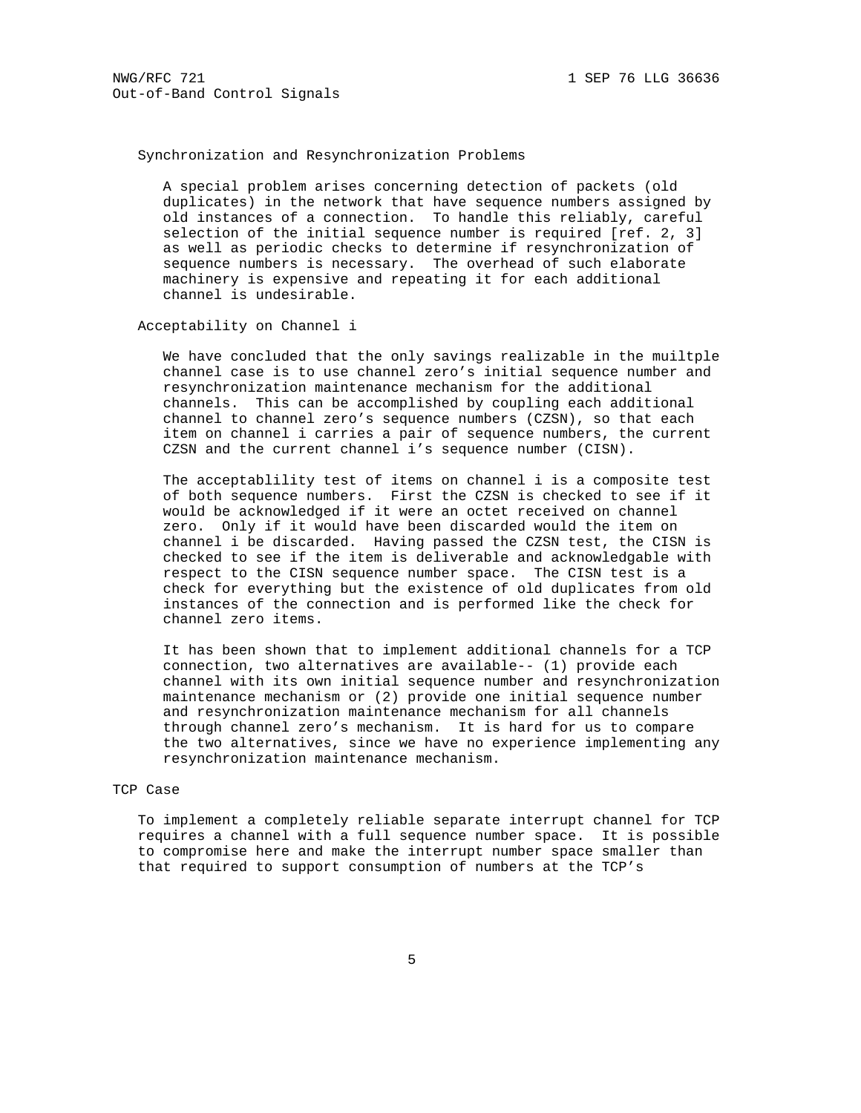# Synchronization and Resynchronization Problems

 A special problem arises concerning detection of packets (old duplicates) in the network that have sequence numbers assigned by old instances of a connection. To handle this reliably, careful selection of the initial sequence number is required [ref. 2, 3] as well as periodic checks to determine if resynchronization of sequence numbers is necessary. The overhead of such elaborate machinery is expensive and repeating it for each additional channel is undesirable.

## Acceptability on Channel i

 We have concluded that the only savings realizable in the muiltple channel case is to use channel zero's initial sequence number and resynchronization maintenance mechanism for the additional channels. This can be accomplished by coupling each additional channel to channel zero's sequence numbers (CZSN), so that each item on channel i carries a pair of sequence numbers, the current CZSN and the current channel i's sequence number (CISN).

 The acceptablility test of items on channel i is a composite test of both sequence numbers. First the CZSN is checked to see if it would be acknowledged if it were an octet received on channel zero. Only if it would have been discarded would the item on channel i be discarded. Having passed the CZSN test, the CISN is checked to see if the item is deliverable and acknowledgable with respect to the CISN sequence number space. The CISN test is a check for everything but the existence of old duplicates from old instances of the connection and is performed like the check for channel zero items.

 It has been shown that to implement additional channels for a TCP connection, two alternatives are available-- (1) provide each channel with its own initial sequence number and resynchronization maintenance mechanism or (2) provide one initial sequence number and resynchronization maintenance mechanism for all channels through channel zero's mechanism. It is hard for us to compare the two alternatives, since we have no experience implementing any resynchronization maintenance mechanism.

## TCP Case

 To implement a completely reliable separate interrupt channel for TCP requires a channel with a full sequence number space. It is possible to compromise here and make the interrupt number space smaller than that required to support consumption of numbers at the TCP's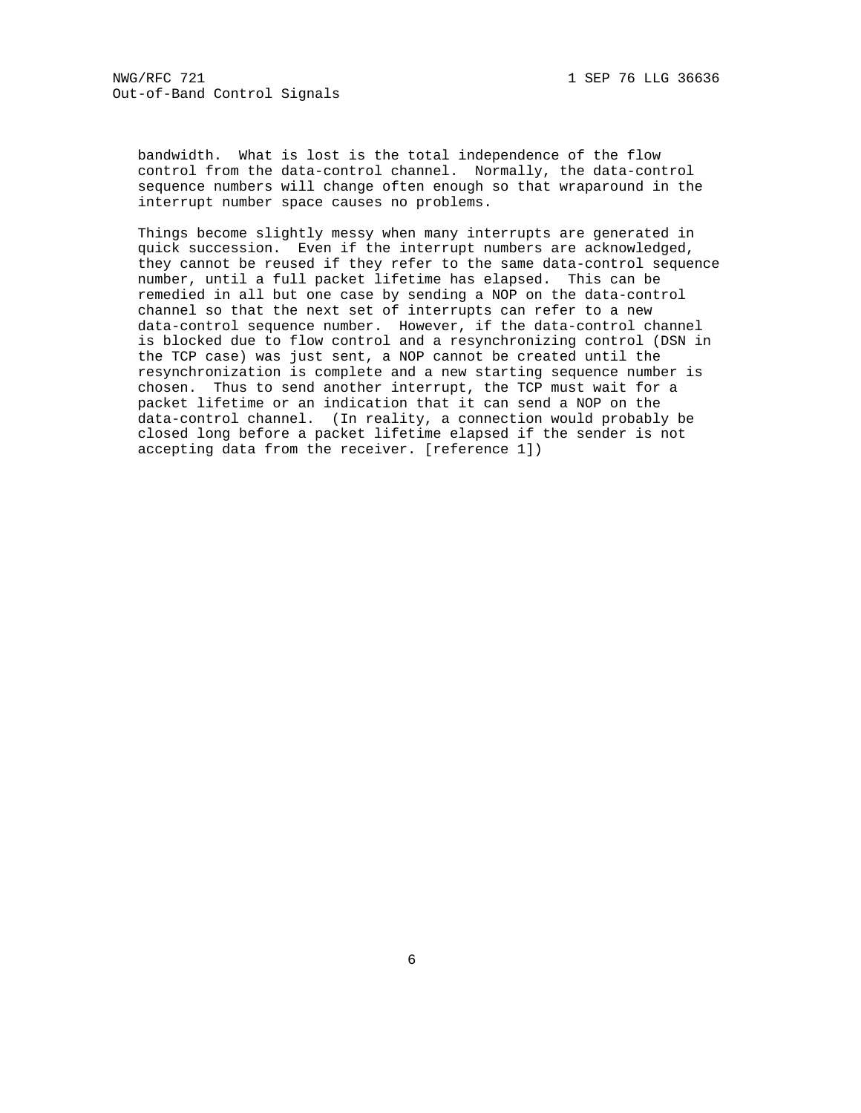bandwidth. What is lost is the total independence of the flow control from the data-control channel. Normally, the data-control sequence numbers will change often enough so that wraparound in the interrupt number space causes no problems.

 Things become slightly messy when many interrupts are generated in quick succession. Even if the interrupt numbers are acknowledged, they cannot be reused if they refer to the same data-control sequence number, until a full packet lifetime has elapsed. This can be remedied in all but one case by sending a NOP on the data-control channel so that the next set of interrupts can refer to a new data-control sequence number. However, if the data-control channel is blocked due to flow control and a resynchronizing control (DSN in the TCP case) was just sent, a NOP cannot be created until the resynchronization is complete and a new starting sequence number is chosen. Thus to send another interrupt, the TCP must wait for a packet lifetime or an indication that it can send a NOP on the data-control channel. (In reality, a connection would probably be closed long before a packet lifetime elapsed if the sender is not accepting data from the receiver. [reference 1])